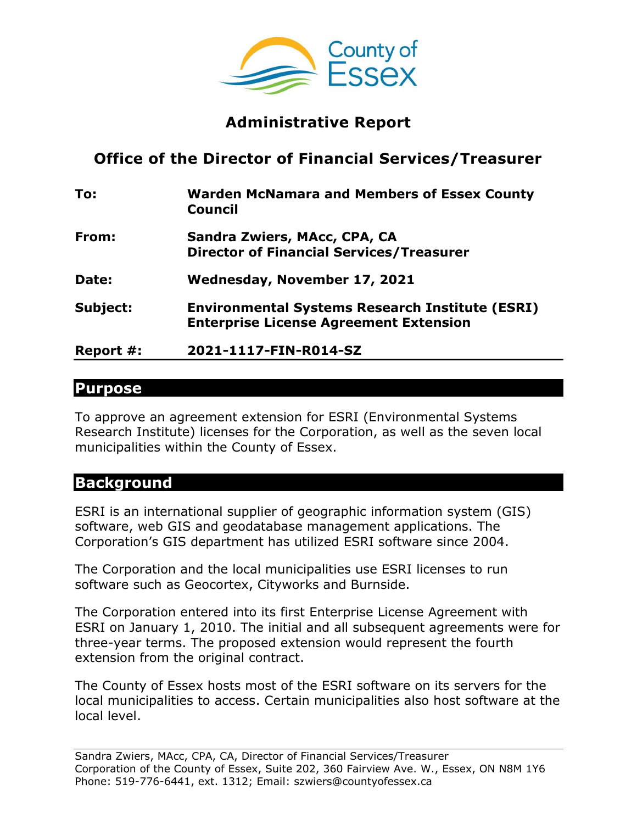

## **Administrative Report**

# **Office of the Director of Financial Services/Treasurer**

| To:       | <b>Warden McNamara and Members of Essex County</b><br><b>Council</b>                                    |
|-----------|---------------------------------------------------------------------------------------------------------|
| From:     | Sandra Zwiers, MAcc, CPA, CA<br><b>Director of Financial Services/Treasurer</b>                         |
| Date:     | Wednesday, November 17, 2021                                                                            |
| Subject:  | <b>Environmental Systems Research Institute (ESRI)</b><br><b>Enterprise License Agreement Extension</b> |
| Report #: | 2021-1117-FIN-R014-SZ                                                                                   |

#### **Purpose**

To approve an agreement extension for ESRI (Environmental Systems Research Institute) licenses for the Corporation, as well as the seven local municipalities within the County of Essex.

### **Background**

ESRI is an international supplier of geographic information system (GIS) software, web GIS and geodatabase management applications. The Corporation's GIS department has utilized ESRI software since 2004.

The Corporation and the local municipalities use ESRI licenses to run software such as Geocortex, Cityworks and Burnside.

The Corporation entered into its first Enterprise License Agreement with ESRI on January 1, 2010. The initial and all subsequent agreements were for three-year terms. The proposed extension would represent the fourth extension from the original contract.

The County of Essex hosts most of the ESRI software on its servers for the local municipalities to access. Certain municipalities also host software at the local level.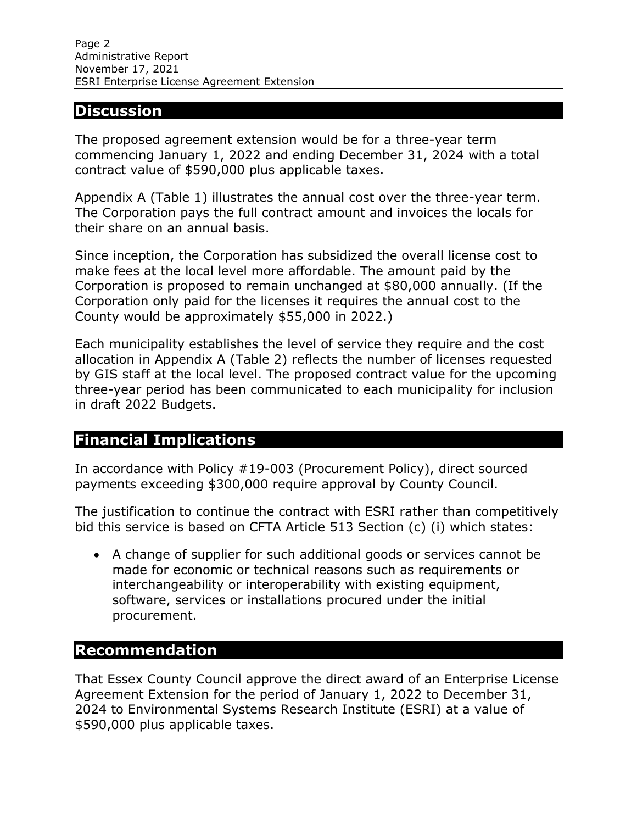#### **Discussion**

The proposed agreement extension would be for a three-year term commencing January 1, 2022 and ending December 31, 2024 with a total contract value of \$590,000 plus applicable taxes.

Appendix A (Table 1) illustrates the annual cost over the three-year term. The Corporation pays the full contract amount and invoices the locals for their share on an annual basis.

Since inception, the Corporation has subsidized the overall license cost to make fees at the local level more affordable. The amount paid by the Corporation is proposed to remain unchanged at \$80,000 annually. (If the Corporation only paid for the licenses it requires the annual cost to the County would be approximately \$55,000 in 2022.)

Each municipality establishes the level of service they require and the cost allocation in Appendix A (Table 2) reflects the number of licenses requested by GIS staff at the local level. The proposed contract value for the upcoming three-year period has been communicated to each municipality for inclusion in draft 2022 Budgets.

### **Financial Implications**

In accordance with Policy #19-003 (Procurement Policy), direct sourced payments exceeding \$300,000 require approval by County Council.

The justification to continue the contract with ESRI rather than competitively bid this service is based on CFTA Article 513 Section (c) (i) which states:

 A change of supplier for such additional goods or services cannot be made for economic or technical reasons such as requirements or interchangeability or interoperability with existing equipment, software, services or installations procured under the initial procurement.

### **Recommendation**

That Essex County Council approve the direct award of an Enterprise License Agreement Extension for the period of January 1, 2022 to December 31, 2024 to Environmental Systems Research Institute (ESRI) at a value of \$590,000 plus applicable taxes.